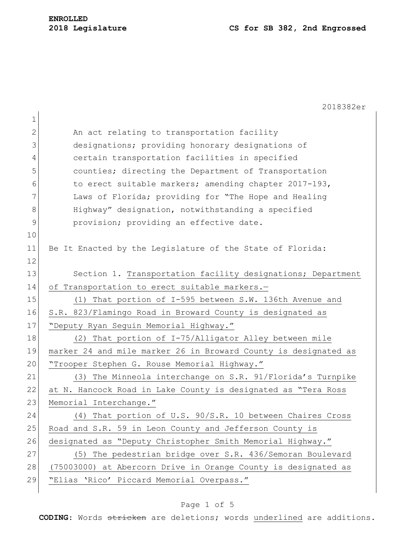|              | 2018382er                                                       |
|--------------|-----------------------------------------------------------------|
| 1            |                                                                 |
| $\mathbf{2}$ | An act relating to transportation facility                      |
| 3            | designations; providing honorary designations of                |
| 4            | certain transportation facilities in specified                  |
| 5            | counties; directing the Department of Transportation            |
| 6            | to erect suitable markers; amending chapter 2017-193,           |
| 7            | Laws of Florida; providing for "The Hope and Healing            |
| $8\,$        | Highway" designation, notwithstanding a specified               |
| 9            | provision; providing an effective date.                         |
| 10           |                                                                 |
| 11           | Be It Enacted by the Legislature of the State of Florida:       |
| 12           |                                                                 |
| 13           | Section 1. Transportation facility designations; Department     |
| 14           | of Transportation to erect suitable markers.-                   |
| 15           | (1) That portion of I-595 between S.W. 136th Avenue and         |
| 16           | S.R. 823/Flamingo Road in Broward County is designated as       |
| 17           | "Deputy Ryan Seguin Memorial Highway."                          |
| 18           | (2) That portion of I-75/Alligator Alley between mile           |
| 19           | marker 24 and mile marker 26 in Broward County is designated as |
| 20           | "Trooper Stephen G. Rouse Memorial Highway."                    |
| 21           | The Minneola interchange on S.R. 91/Florida's Turnpike<br>(3)   |
| 22           | at N. Hancock Road in Lake County is designated as "Tera Ross   |
| 23           | Memorial Interchange."                                          |
| 24           | (4) That portion of U.S. 90/S.R. 10 between Chaires Cross       |
| 25           | Road and S.R. 59 in Leon County and Jefferson County is         |
| 26           | designated as "Deputy Christopher Smith Memorial Highway."      |
| 27           | The pedestrian bridge over S.R. 436/Semoran Boulevard<br>(5)    |
| 28           | (75003000) at Abercorn Drive in Orange County is designated as  |
| 29           | "Elias 'Rico' Piccard Memorial Overpass."                       |
|              |                                                                 |

# Page 1 of 5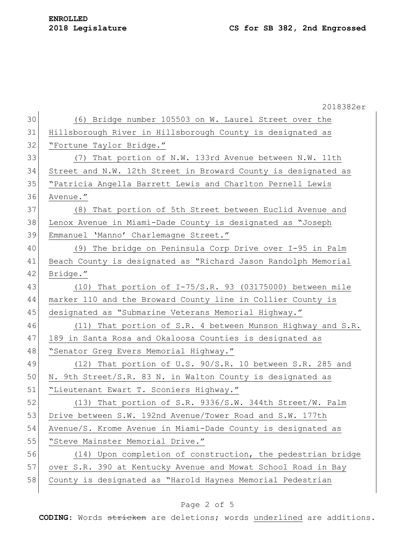|    | 2018382er                                                      |
|----|----------------------------------------------------------------|
| 30 | (6) Bridge number 105503 on W. Laurel Street over the          |
| 31 | Hillsborough River in Hillsborough County is designated as     |
| 32 | "Fortune Taylor Bridge."                                       |
| 33 | (7) That portion of N.W. 133rd Avenue between N.W. 11th        |
| 34 | Street and N.W. 12th Street in Broward County is designated as |
| 35 | "Patricia Angella Barrett Lewis and Charlton Pernell Lewis     |
| 36 | Avenue."                                                       |
| 37 | That portion of 5th Street between Euclid Avenue and<br>(8)    |
| 38 | Lenox Avenue in Miami-Dade County is designated as "Joseph     |
| 39 | Emmanuel 'Manno' Charlemagne Street."                          |
| 40 | (9) The bridge on Peninsula Corp Drive over I-95 in Palm       |
| 41 | Beach County is designated as "Richard Jason Randolph Memorial |
| 42 | Bridge."                                                       |
| 43 | $(10)$ That portion of I-75/S.R. 93 (03175000) between mile    |
| 44 | marker 110 and the Broward County line in Collier County is    |
| 45 | designated as "Submarine Veterans Memorial Highway."           |
| 46 | (11) That portion of S.R. 4 between Munson Highway and S.R.    |
| 47 | 189 in Santa Rosa and Okaloosa Counties is designated as       |
| 48 | "Senator Greg Evers Memorial Highway."                         |
| 49 | (12) That portion of U.S. 90/S.R. 10 between S.R. 285 and      |
| 50 | N. 9th Street/S.R. 83 N. in Walton County is designated as     |
| 51 | "Lieutenant Ewart T. Sconiers Highway."                        |
| 52 | (13) That portion of S.R. 9336/S.W. 344th Street/W. Palm       |
| 53 | Drive between S.W. 192nd Avenue/Tower Road and S.W. 177th      |
| 54 | Avenue/S. Krome Avenue in Miami-Dade County is designated as   |
| 55 | "Steve Mainster Memorial Drive."                               |
| 56 | (14) Upon completion of construction, the pedestrian bridge    |
| 57 | over S.R. 390 at Kentucky Avenue and Mowat School Road in Bay  |
| 58 | County is designated as "Harold Haynes Memorial Pedestrian     |
|    |                                                                |

# Page 2 of 5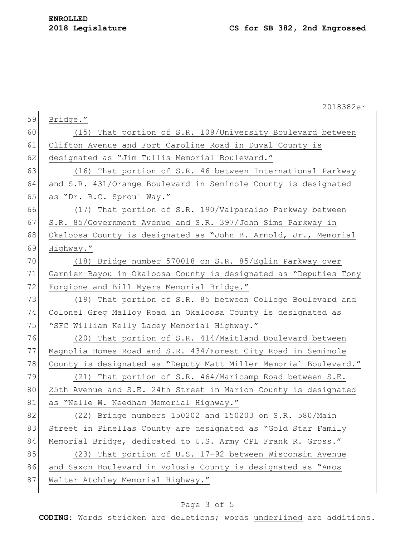|    | 2018382er                                                        |
|----|------------------------------------------------------------------|
| 59 | Bridge."                                                         |
| 60 | That portion of S.R. 109/University Boulevard between<br>(15)    |
| 61 | Clifton Avenue and Fort Caroline Road in Duval County is         |
| 62 | designated as "Jim Tullis Memorial Boulevard."                   |
| 63 | (16) That portion of S.R. 46 between International Parkway       |
| 64 | and S.R. 431/Orange Boulevard in Seminole County is designated   |
| 65 | as "Dr. R.C. Sproul Way."                                        |
| 66 | (17) That portion of S.R. 190/Valparaiso Parkway between         |
| 67 | S.R. 85/Government Avenue and S.R. 397/John Sims Parkway in      |
| 68 | Okaloosa County is designated as "John B. Arnold, Jr., Memorial  |
| 69 | Highway."                                                        |
| 70 | (18) Bridge number 570018 on S.R. 85/Eglin Parkway over          |
| 71 | Garnier Bayou in Okaloosa County is designated as "Deputies Tony |
| 72 | Forgione and Bill Myers Memorial Bridge."                        |
| 73 | (19) That portion of S.R. 85 between College Boulevard and       |
| 74 | Colonel Greg Malloy Road in Okaloosa County is designated as     |
| 75 | "SFC William Kelly Lacey Memorial Highway."                      |
| 76 | (20) That portion of S.R. 414/Maitland Boulevard between         |
| 77 | Magnolia Homes Road and S.R. 434/Forest City Road in Seminole    |
| 78 | County is designated as "Deputy Matt Miller Memorial Boulevard." |
| 79 | That portion of S.R. 464/Maricamp Road between S.E.<br>(21)      |
| 80 | 25th Avenue and S.E. 24th Street in Marion County is designated  |
| 81 | as "Nelle W. Needham Memorial Highway."                          |
| 82 | (22) Bridge numbers 150202 and 150203 on S.R. 580/Main           |
| 83 | Street in Pinellas County are designated as "Gold Star Family    |
| 84 | Memorial Bridge, dedicated to U.S. Army CPL Frank R. Gross."     |
| 85 | (23) That portion of U.S. 17-92 between Wisconsin Avenue         |
| 86 | and Saxon Boulevard in Volusia County is designated as "Amos     |
| 87 | Walter Atchley Memorial Highway."                                |
|    |                                                                  |

# Page 3 of 5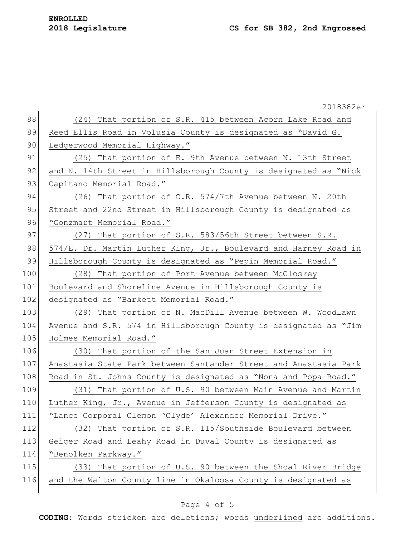|     | 2018382er                                                        |
|-----|------------------------------------------------------------------|
| 88  | (24) That portion of S.R. 415 between Acorn Lake Road and        |
| 89  | Reed Ellis Road in Volusia County is designated as "David G.     |
| 90  | Ledgerwood Memorial Highway."                                    |
| 91  | (25) That portion of E. 9th Avenue between N. 13th Street        |
| 92  | and N. 14th Street in Hillsborough County is designated as "Nick |
| 93  | Capitano Memorial Road."                                         |
| 94  | (26) That portion of C.R. 574/7th Avenue between N. 20th         |
| 95  | Street and 22nd Street in Hillsborough County is designated as   |
| 96  | "Gonzmart Memorial Road."                                        |
| 97  | (27) That portion of S.R. 583/56th Street between S.R.           |
| 98  | 574/E. Dr. Martin Luther King, Jr., Boulevard and Harney Road in |
| 99  | Hillsborough County is designated as "Pepin Memorial Road."      |
| 100 | (28)<br>That portion of Port Avenue between McCloskey            |
| 101 | Boulevard and Shoreline Avenue in Hillsborough County is         |
| 102 | designated as "Barkett Memorial Road."                           |
| 103 | (29) That portion of N. MacDill Avenue between W. Woodlawn       |
| 104 | Avenue and S.R. 574 in Hillsborough County is designated as "Jim |
| 105 | Holmes Memorial Road."                                           |
| 106 | (30) That portion of the San Juan Street Extension in            |
| 107 | Anastasia State Park between Santander Street and Anastasia Park |
| 108 | Road in St. Johns County is designated as "Nona and Popa Road."  |
| 109 | (31) That portion of U.S. 90 between Main Avenue and Martin      |
| 110 | Luther King, Jr., Avenue in Jefferson County is designated as    |
| 111 | "Lance Corporal Clemon 'Clyde' Alexander Memorial Drive."        |
| 112 | (32) That portion of S.R. 115/Southside Boulevard between        |
| 113 | Geiger Road and Leahy Road in Duval County is designated as      |
| 114 | "Benolken Parkway."                                              |
| 115 | (33) That portion of U.S. 90 between the Shoal River Bridge      |
| 116 | and the Walton County line in Okaloosa County is designated as   |
|     |                                                                  |

# Page 4 of 5